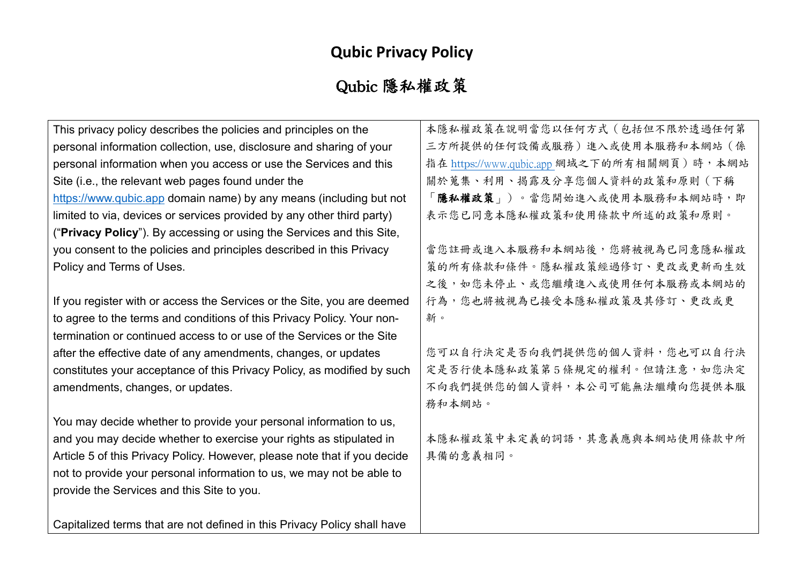## **Qubic Privacy Policy**

## Qubic 隱私權政策

| This privacy policy describes the policies and principles on the          | 本隱私權政策在說明當您以任何方式(包括但不限於透過任何第               |
|---------------------------------------------------------------------------|--------------------------------------------|
| personal information collection, use, disclosure and sharing of your      | 三方所提供的任何設備或服務)進入或使用本服務和本網站(係               |
| personal information when you access or use the Services and this         | 指在 https://www.qubic.app 網域之下的所有相關網頁)時,本網站 |
| Site (i.e., the relevant web pages found under the                        | 關於蒐集、利用、揭露及分享您個人資料的政策和原則(下稱                |
| https://www.qubic.app domain name) by any means (including but not        | 【隱私權政策」)。當您開始進入或使用本服務和本網站時,即               |
| limited to via, devices or services provided by any other third party)    | 表示您已同意本隱私權政策和使用條款中所述的政策和原則。                |
| ("Privacy Policy"). By accessing or using the Services and this Site,     |                                            |
| you consent to the policies and principles described in this Privacy      | 當您註冊或進入本服務和本網站後,您將被視為已同意隱私權政               |
| Policy and Terms of Uses.                                                 | 策的所有條款和條件。隱私權政策經過修訂、更改或更新而生效               |
|                                                                           | 之後,如您未停止、或您繼續進入或使用任何本服務或本網站的               |
| If you register with or access the Services or the Site, you are deemed   | 行為,您也將被視為已接受本隱私權政策及其修訂、更改或更                |
| to agree to the terms and conditions of this Privacy Policy. Your non-    | 新。                                         |
| termination or continued access to or use of the Services or the Site     |                                            |
| after the effective date of any amendments, changes, or updates           | 您可以自行決定是否向我們提供您的個人資料,您也可以自行決               |
| constitutes your acceptance of this Privacy Policy, as modified by such   | 定是否行使本隱私政策第5條規定的權利。但請注意,如您決定               |
| amendments, changes, or updates.                                          | 不向我們提供您的個人資料,本公司可能無法繼續向您提供本服               |
|                                                                           | 務和本網站。                                     |
| You may decide whether to provide your personal information to us,        |                                            |
| and you may decide whether to exercise your rights as stipulated in       | 本隱私權政策中未定義的詞語,其意義應與本網站使用條款中所               |
| Article 5 of this Privacy Policy. However, please note that if you decide | 具備的意義相同。                                   |
| not to provide your personal information to us, we may not be able to     |                                            |
| provide the Services and this Site to you.                                |                                            |
|                                                                           |                                            |
| Capitalized terms that are not defined in this Privacy Policy shall have  |                                            |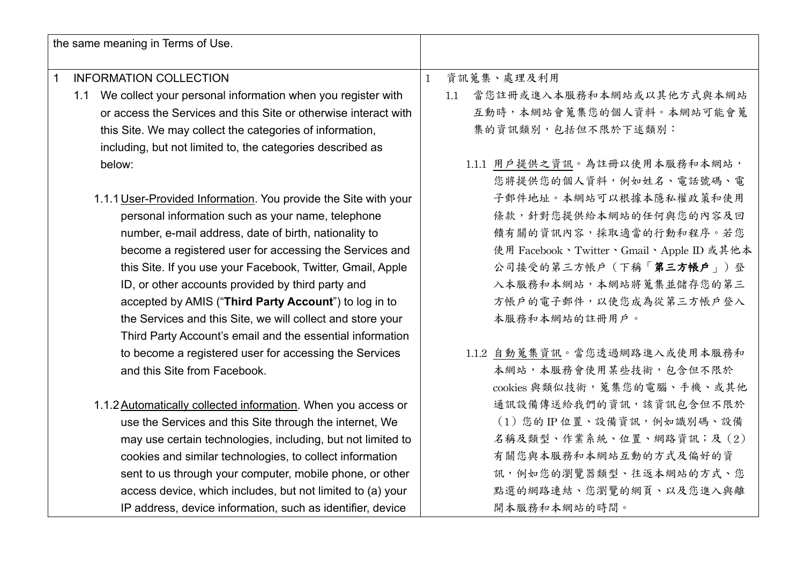| the same meaning in Terms of Use.                               |                                         |
|-----------------------------------------------------------------|-----------------------------------------|
| <b>INFORMATION COLLECTION</b><br>1                              | 資訊蒐集、處理及利用<br>$\mathbf{1}$              |
| 1.1 We collect your personal information when you register with | 當您註冊或進入本服務和本網站或以其他方式與本網站<br>1.1         |
| or access the Services and this Site or otherwise interact with | 互動時,本網站會蒐集您的個人資料。本網站可能會蒐                |
| this Site. We may collect the categories of information,        | 集的資訊類別,包括但不限於下述類別:                      |
| including, but not limited to, the categories described as      |                                         |
| below:                                                          | 1.1.1 用戶提供之資訊。為註冊以使用本服務和本網站,            |
|                                                                 | 您將提供您的個人資料,例如姓名、電話號碼、電                  |
| 1.1.1 User-Provided Information. You provide the Site with your | 子郵件地址。本網站可以根據本隱私權政策和使用                  |
| personal information such as your name, telephone               | 條款,針對您提供給本網站的任何與您的內容及回                  |
| number, e-mail address, date of birth, nationality to           | 饋有關的資訊內容,採取適當的行動和程序。若您                  |
| become a registered user for accessing the Services and         | 使用 Facebook、Twitter、Gmail、Apple ID 或其他本 |
| this Site. If you use your Facebook, Twitter, Gmail, Apple      | 公司接受的第三方帳戶 (下稱「第三方帳戶」)登                 |
| ID, or other accounts provided by third party and               | 入本服務和本網站,本網站將蒐集並儲存您的第三                  |
| accepted by AMIS ("Third Party Account") to log in to           | 方帳戶的電子郵件,以使您成為從第三方帳戶登入                  |
| the Services and this Site, we will collect and store your      | 本服務和本網站的註冊用戶。                           |
| Third Party Account's email and the essential information       |                                         |
| to become a registered user for accessing the Services          | 1.1.2 自動蒐集資訊。當您透過網路進入或使用本服務和            |
| and this Site from Facebook.                                    | 本網站,本服務會使用某些技術,包含但不限於                   |
|                                                                 | cookies 與類似技術, 蒐集您的電腦、手機、或其他            |
| 1.1.2 Automatically collected information. When you access or   | 通訊設備傳送給我們的資訊,該資訊包含但不限於                  |
| use the Services and this Site through the internet, We         | (1)您的IP位置、設備資訊,例如識別碼、設備                 |
| may use certain technologies, including, but not limited to     | 名稱及類型、作業系統、位置、網路資訊;及(2)                 |
| cookies and similar technologies, to collect information        | 有關您與本服務和本網站互動的方式及偏好的資                   |
| sent to us through your computer, mobile phone, or other        | 訊,例如您的瀏覽器類型、往返本網站的方式、您                  |
| access device, which includes, but not limited to (a) your      | 點選的網路連結、您瀏覽的網頁、以及您進入與離                  |
| IP address, device information, such as identifier, device      | 開本服務和本網站的時間。                            |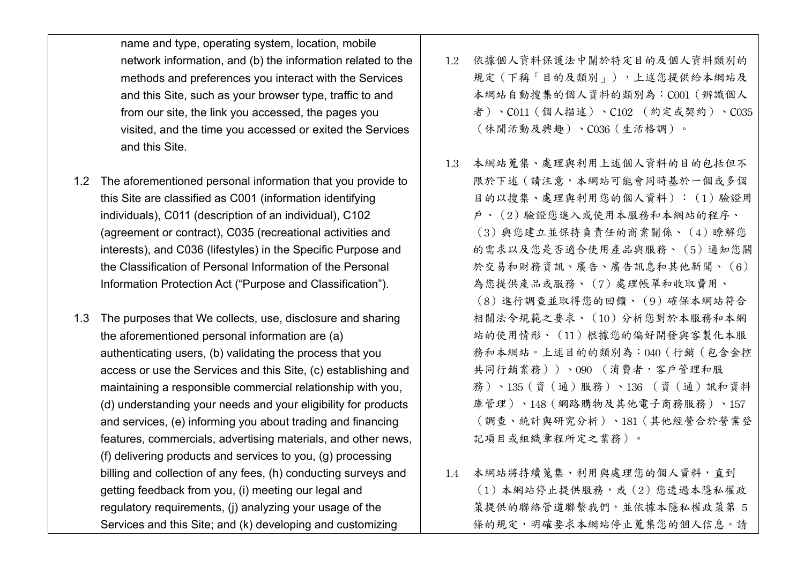name and type, operating system, location, mobile network information, and (b) the information related to the methods and preferences you interact with the Services and this Site, such as your browser type, traffic to and from our site, the link you accessed, the pages you visited, and the time you accessed or exited the Services and this Site.

- 1.2 The aforementioned personal information that you provide to this Site are classified as C001 (information identifying individuals), C011 (description of an individual), C102 (agreement or contract), C035 (recreational activities and interests), and C036 (lifestyles) in the Specific Purpose and the Classification of Personal Information of the Personal Information Protection Act ("Purpose and Classification").
- 1.3 The purposes that We collects, use, disclosure and sharing the aforementioned personal information are (a) authenticating users, (b) validating the process that you access or use the Services and this Site, (c) establishing and maintaining a responsible commercial relationship with you, (d) understanding your needs and your eligibility for products and services, (e) informing you about trading and financing features, commercials, advertising materials, and other news, (f) delivering products and services to you, (g) processing billing and collection of any fees, (h) conducting surveys and getting feedback from you, (i) meeting our legal and regulatory requirements, (j) analyzing your usage of the Services and this Site; and (k) developing and customizing
- 1.2 依據個人資料保護法中關於特定目的及個人資料類別的 規定(下稱「目的及類別」),上述您提供給本網站及 本網站自動搜集的個人資料的類別為:C001(辨識個人 者)、C011(個人描述)、C102 (約定或契約)、C035 (休閒活動及興趣)、C036(生活格調)。
- 1.3 本網站蒐集、處理與利用上述個人資料的目的包括但不 限於下述(請注意,本網站可能會同時基於一個或多個 目的以搜集、處理與利用您的個人資料):(1)驗證用 戶、(2)驗證您進入或使用本服務和本網站的程序、 (3)與您建立並保持負責任的商業關係、(4)瞭解您 的需求以及您是否適合使用產品與服務、(5)通知您關 於交易和財務資訊、廣告、廣告訊息和其他新聞、(6) 為您提供產品或服務、(7)處理帳單和收取費用、 (8)進行調查並取得您的回饋、(9)確保本網站符合 相關法令規範之要求、(10)分析您對於本服務和本網 站的使用情形、(11)根據您的偏好開發與客製化本服 務和本網站。上述目的的類別為:040(行銷(包含金控 共同行銷業務))、090 (消費者,客戶管理和服 務)、135(資(通)服務)、136 (資(通)訊和資料 庫管理)、148(網路購物及其他電子商務服務)、157 (調查、統計與研究分析)、181(其他經營合於營業登 記項目或組織章程所定之業務)。
- 1.4 本網站將持續蒐集、利用與處理您的個人資料,直到 (1)本網站停止提供服務,或(2)您透過本隱私權政 策提供的聯絡管道聯繫我們,並依據本隱私權政策第 5 條的規定,明確要求本網站停止蒐集您的個人信息。請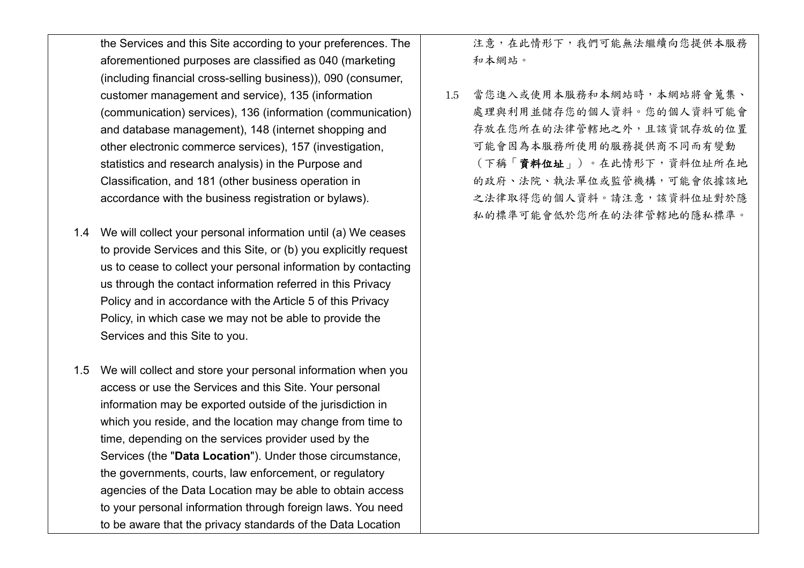the Services and this Site according to your preferences. The aforementioned purposes are classified as 040 (marketing (including financial cross-selling business)), 090 (consumer, customer management and service), 135 (information (communication) services), 136 (information (communication) and database management), 148 (internet shopping and other electronic commerce services), 157 (investigation, statistics and research analysis) in the Purpose and Classification, and 181 (other business operation in accordance with the business registration or bylaws).

- 1.4 We will collect your personal information until (a) We ceases to provide Services and this Site, or (b) you explicitly request us to cease to collect your personal information by contacting us through the contact information referred in this Privacy Policy and in accordance with the Article 5 of this Privacy Policy, in which case we may not be able to provide the Services and this Site to you.
- 1.5 We will collect and store your personal information when you access or use the Services and this Site. Your personal information may be exported outside of the jurisdiction in which you reside, and the location may change from time to time, depending on the services provider used by the Services (the "**Data Location**"). Under those circumstance, the governments, courts, law enforcement, or regulatory agencies of the Data Location may be able to obtain access to your personal information through foreign laws. You need to be aware that the privacy standards of the Data Location

注意,在此情形下,我們可能無法繼續向您提供本服務 和本網站。

1.5 當您進入或使用本服務和本網站時,本網站將會蒐集、 處理與利用並儲存您的個人資料。您的個人資料可能會 存放在您所在的法律管轄地之外,且該資訊存放的位置 可能會因為本服務所使用的服務提供商不同而有變動 (下稱「資料位址」)。在此情形下,資料位址所在地 的政府、法院、執法單位或監管機構,可能會依據該地 之法律取得您的個人資料。請注意,該資料位址對於隱 私的標準可能會低於您所在的法律管轄地的隱私標準。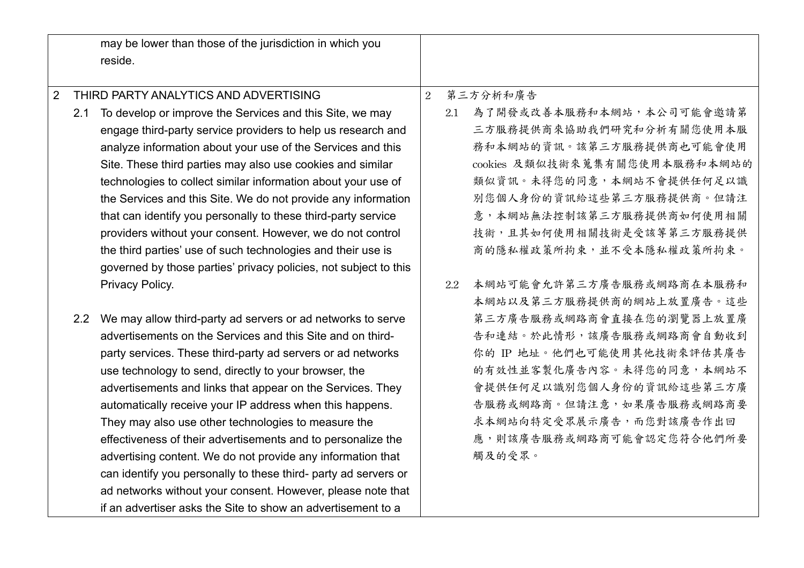|                |     | may be lower than those of the jurisdiction in which you<br>reside. |                |     |                               |
|----------------|-----|---------------------------------------------------------------------|----------------|-----|-------------------------------|
| $\overline{2}$ |     | THIRD PARTY ANALYTICS AND ADVERTISING                               | $\overline{2}$ |     | 第三方分析和廣告                      |
|                | 2.1 | To develop or improve the Services and this Site, we may            |                | 2.1 | 為了開發或改善本服務和本網站,本公司可能會邀請第      |
|                |     | engage third-party service providers to help us research and        |                |     | 三方服務提供商來協助我們研究和分析有關您使用本服      |
|                |     | analyze information about your use of the Services and this         |                |     | 務和本網站的資訊。該第三方服務提供商也可能會使用      |
|                |     | Site. These third parties may also use cookies and similar          |                |     | cookies 及類似技術來蒐集有關您使用本服務和本網站的 |
|                |     | technologies to collect similar information about your use of       |                |     | 類似資訊。未得您的同意,本網站不會提供任何足以識      |
|                |     | the Services and this Site. We do not provide any information       |                |     | 別您個人身份的資訊給這些第三方服務提供商。但請注      |
|                |     | that can identify you personally to these third-party service       |                |     | 意,本網站無法控制該第三方服務提供商如何使用相關      |
|                |     | providers without your consent. However, we do not control          |                |     | 技術,且其如何使用相關技術是受該等第三方服務提供      |
|                |     | the third parties' use of such technologies and their use is        |                |     | 商的隱私權政策所拘束,並不受本隱私權政策所拘束。      |
|                |     | governed by those parties' privacy policies, not subject to this    |                |     |                               |
|                |     | Privacy Policy.                                                     |                | 2.2 | 本網站可能會允許第三方廣告服務或網路商在本服務和      |
|                |     |                                                                     |                |     | 本網站以及第三方服務提供商的網站上放置廣告。這些      |
|                | 2.2 | We may allow third-party ad servers or ad networks to serve         |                |     | 第三方廣告服務或網路商會直接在您的瀏覽器上放置廣      |
|                |     | advertisements on the Services and this Site and on third-          |                |     | 告和連結。於此情形,該廣告服務或網路商會自動收到      |
|                |     | party services. These third-party ad servers or ad networks         |                |     | 你的 IP 地址。他們也可能使用其他技術來評估其廣告    |
|                |     | use technology to send, directly to your browser, the               |                |     | 的有效性並客製化廣告內容。未得您的同意,本網站不      |
|                |     | advertisements and links that appear on the Services. They          |                |     | 會提供任何足以識別您個人身份的資訊給這些第三方廣      |
|                |     | automatically receive your IP address when this happens.            |                |     | 告服務或網路商。但請注意,如果廣告服務或網路商要      |
|                |     | They may also use other technologies to measure the                 |                |     | 求本網站向特定受眾展示廣告,而您對該廣告作出回       |
|                |     | effectiveness of their advertisements and to personalize the        |                |     | 應,則該廣告服務或網路商可能會認定您符合他們所要      |
|                |     | advertising content. We do not provide any information that         |                |     | 觸及的受眾。                        |
|                |     | can identify you personally to these third- party ad servers or     |                |     |                               |
|                |     | ad networks without your consent. However, please note that         |                |     |                               |
|                |     | if an advertiser asks the Site to show an advertisement to a        |                |     |                               |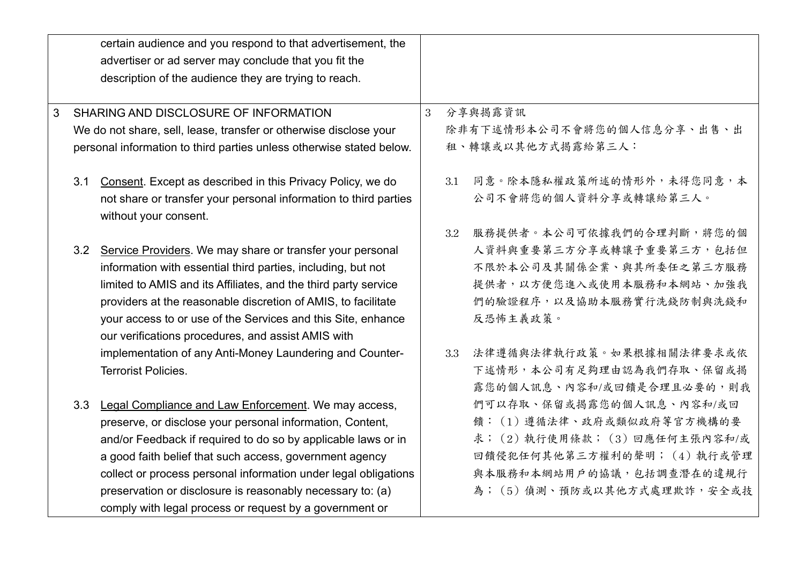|     | certain audience and you respond to that advertisement, the                                                |  |     |                                |
|-----|------------------------------------------------------------------------------------------------------------|--|-----|--------------------------------|
|     | advertiser or ad server may conclude that you fit the                                                      |  |     |                                |
|     | description of the audience they are trying to reach.                                                      |  |     |                                |
|     |                                                                                                            |  |     |                                |
| 3   | SHARING AND DISCLOSURE OF INFORMATION<br>We do not share, sell, lease, transfer or otherwise disclose your |  |     | 分享與揭露資訊                        |
|     |                                                                                                            |  |     | 除非有下述情形本公司不會將您的個人信息分享、出售、出     |
|     | personal information to third parties unless otherwise stated below.                                       |  |     | 租、轉讓或以其他方式揭露給第三人:              |
|     |                                                                                                            |  |     |                                |
| 3.1 | Consent. Except as described in this Privacy Policy, we do                                                 |  | 3.1 | 同意。除本隱私權政策所述的情形外,未得您同意,本       |
|     | not share or transfer your personal information to third parties                                           |  |     | 公司不會將您的個人資料分享或轉讓給第三人。          |
|     | without your consent.                                                                                      |  |     |                                |
|     |                                                                                                            |  | 3.2 | 服務提供者。本公司可依據我們的合理判斷,將您的個       |
| 3.2 | Service Providers. We may share or transfer your personal                                                  |  |     | 人資料與重要第三方分享或轉讓予重要第三方,包括但       |
|     | information with essential third parties, including, but not                                               |  |     | 不限於本公司及其關係企業、與其所委任之第三方服務       |
|     | limited to AMIS and its Affiliates, and the third party service                                            |  |     | 提供者,以方便您進入或使用本服務和本網站、加強我       |
|     | providers at the reasonable discretion of AMIS, to facilitate                                              |  |     | 們的驗證程序,以及協助本服務實行洗錢防制與洗錢和       |
|     | your access to or use of the Services and this Site, enhance                                               |  |     | 反恐怖主義政策。                       |
|     | our verifications procedures, and assist AMIS with                                                         |  |     |                                |
|     | implementation of any Anti-Money Laundering and Counter-                                                   |  | 3.3 | 法律遵循與法律執行政策。如果根據相關法律要求或依       |
|     | Terrorist Policies.                                                                                        |  |     | 下述情形,本公司有足夠理由認為我們存取、保留或揭       |
|     |                                                                                                            |  |     | 露您的個人訊息、內容和/或回饋是合理且必要的,則我      |
| 3.3 | Legal Compliance and Law Enforcement. We may access,                                                       |  |     | 們可以存取、保留或揭露您的個人訊息、內容和/或回       |
|     | preserve, or disclose your personal information, Content,                                                  |  |     | 饋: (1)遵循法律、政府或類似政府等官方機構的要      |
|     | and/or Feedback if required to do so by applicable laws or in                                              |  |     | 求; (2) 執行使用條款; (3) 回應任何主張內容和/或 |
|     | a good faith belief that such access, government agency                                                    |  |     | 回饋侵犯任何其他第三方權利的聲明; (4)執行或管理     |
|     | collect or process personal information under legal obligations                                            |  |     | 與本服務和本網站用戶的協議,包括調查潛在的違規行       |
|     | preservation or disclosure is reasonably necessary to: (a)                                                 |  |     | 為; (5) 偵測、預防或以其他方式處理欺詐,安全或技    |
|     | comply with legal process or request by a government or                                                    |  |     |                                |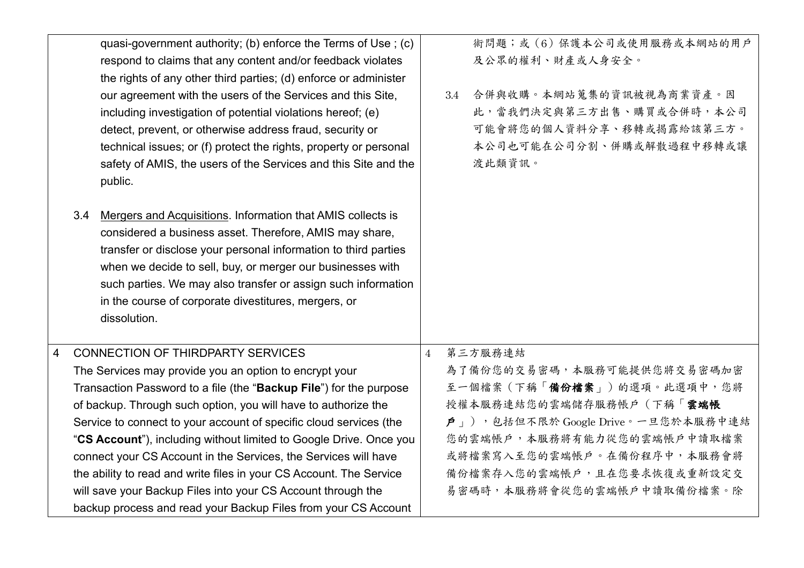|                |     | quasi-government authority; (b) enforce the Terms of Use; (c)       |                | 術問題;或(6)保護本公司或使用服務或本網站的用戶                          |
|----------------|-----|---------------------------------------------------------------------|----------------|----------------------------------------------------|
|                |     | respond to claims that any content and/or feedback violates         |                | 及公眾的權利、財產或人身安全。                                    |
|                |     | the rights of any other third parties; (d) enforce or administer    |                |                                                    |
|                |     | our agreement with the users of the Services and this Site,         |                | 合併與收購。本網站蒐集的資訊被視為商業資產。因<br>3.4                     |
|                |     | including investigation of potential violations hereof; (e)         |                | 此,當我們決定與第三方出售、購買或合併時,本公司                           |
|                |     | detect, prevent, or otherwise address fraud, security or            |                | 可能會將您的個人資料分享、移轉或揭露給該第三方。                           |
|                |     | technical issues; or (f) protect the rights, property or personal   |                | 本公司也可能在公司分割、併購或解散過程中移轉或讓                           |
|                |     | safety of AMIS, the users of the Services and this Site and the     |                | 渡此類資訊。                                             |
|                |     | public.                                                             |                |                                                    |
|                |     |                                                                     |                |                                                    |
|                | 3.4 | Mergers and Acquisitions. Information that AMIS collects is         |                |                                                    |
|                |     | considered a business asset. Therefore, AMIS may share,             |                |                                                    |
|                |     | transfer or disclose your personal information to third parties     |                |                                                    |
|                |     | when we decide to sell, buy, or merger our businesses with          |                |                                                    |
|                |     | such parties. We may also transfer or assign such information       |                |                                                    |
|                |     | in the course of corporate divestitures, mergers, or                |                |                                                    |
|                |     | dissolution.                                                        |                |                                                    |
|                |     |                                                                     |                |                                                    |
| $\overline{4}$ |     | <b>CONNECTION OF THIRDPARTY SERVICES</b>                            | $\overline{4}$ | 第三方服務連結                                            |
|                |     | The Services may provide you an option to encrypt your              |                | 為了備份您的交易密碼,本服務可能提供您將交易密碼加密                         |
|                |     | Transaction Password to a file (the "Backup File") for the purpose  |                | 至一個檔案 (下稱「備份檔案」) 的選項。此選項中, 您將                      |
|                |     | of backup. Through such option, you will have to authorize the      |                | 授權本服務連結您的雲端儲存服務帳戶(下稱「雲端帳                           |
|                |     | Service to connect to your account of specific cloud services (the  |                | $\hat{\bm{P}}$   ), 包括但不限於 Google Drive。一旦您於本服務中連結 |
|                |     | "CS Account"), including without limited to Google Drive. Once you  |                | 您的雲端帳戶,本服務將有能力從您的雲端帳戶中讀取檔案                         |
|                |     | connect your CS Account in the Services, the Services will have     |                | 或將檔案寫入至您的雲端帳戶。在備份程序中,本服務會將                         |
|                |     | the ability to read and write files in your CS Account. The Service |                | 備份檔案存入您的雲端帳戶,且在您要求恢復或重新設定交                         |
|                |     | will save your Backup Files into your CS Account through the        |                | 易密碼時,本服務將會從您的雲端帳戶中讀取備份檔案。除                         |
|                |     | backup process and read your Backup Files from your CS Account      |                |                                                    |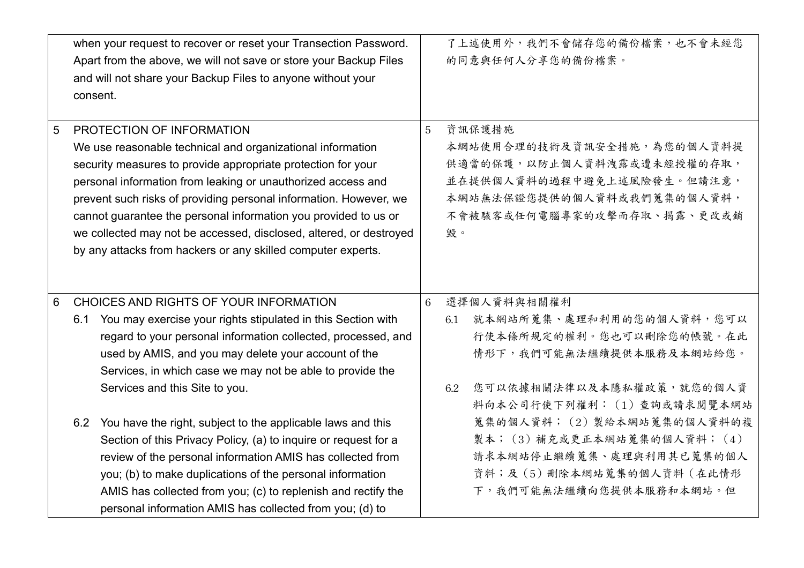|   | when your request to recover or reset your Transection Password.<br>Apart from the above, we will not save or store your Backup Files<br>and will not share your Backup Files to anyone without your<br>consent.                                                                                                                                                                                                                                                                                      |                 | 了上述使用外,我們不會儲存您的備份檔案,也不會未經您<br>的同意與任何人分享您的備份檔案。                                                                                                                                                                  |
|---|-------------------------------------------------------------------------------------------------------------------------------------------------------------------------------------------------------------------------------------------------------------------------------------------------------------------------------------------------------------------------------------------------------------------------------------------------------------------------------------------------------|-----------------|-----------------------------------------------------------------------------------------------------------------------------------------------------------------------------------------------------------------|
| 5 | PROTECTION OF INFORMATION<br>We use reasonable technical and organizational information<br>security measures to provide appropriate protection for your<br>personal information from leaking or unauthorized access and<br>prevent such risks of providing personal information. However, we<br>cannot guarantee the personal information you provided to us or<br>we collected may not be accessed, disclosed, altered, or destroyed<br>by any attacks from hackers or any skilled computer experts. | 5               | 資訊保護措施<br>本網站使用合理的技術及資訊安全措施,為您的個人資料提<br>供適當的保護,以防止個人資料洩露或遭未經授權的存取,<br>並在提供個人資料的過程中避免上述風險發生。但請注意,<br>本網站無法保證您提供的個人資料或我們蒐集的個人資料,<br>不會被駭客或任何電腦專家的攻擊而存取、揭露、更改或銷<br>毀。                                              |
| 6 | CHOICES AND RIGHTS OF YOUR INFORMATION<br>6.1 You may exercise your rights stipulated in this Section with<br>regard to your personal information collected, processed, and<br>used by AMIS, and you may delete your account of the                                                                                                                                                                                                                                                                   | $6\phantom{1}6$ | 選擇個人資料與相關權利<br>就本網站所蒐集、處理和利用的您的個人資料,您可以<br>6.1<br>行使本條所規定的權利。您也可以刪除您的帳號。在此<br>情形下,我們可能無法繼續提供本服務及本網站給您。                                                                                                          |
|   | Services, in which case we may not be able to provide the<br>Services and this Site to you.<br>6.2 You have the right, subject to the applicable laws and this<br>Section of this Privacy Policy, (a) to inquire or request for a<br>review of the personal information AMIS has collected from<br>you; (b) to make duplications of the personal information<br>AMIS has collected from you; (c) to replenish and rectify the                                                                         |                 | 您可以依據相關法律以及本隱私權政策,就您的個人資<br>6.2<br>料向本公司行使下列權利: (1) 查詢或請求閱覽本網站<br>蒐集的個人資料; (2) 製給本網站蒐集的個人資料的複<br>製本; (3)補充或更正本網站蒐集的個人資料; (4)<br>請求本網站停止繼續蒐集、處理與利用其已蒐集的個人<br>資料;及(5)刪除本網站蒐集的個人資料(在此情形<br>下,我們可能無法繼續向您提供本服務和本網站。但 |
|   | personal information AMIS has collected from you; (d) to                                                                                                                                                                                                                                                                                                                                                                                                                                              |                 |                                                                                                                                                                                                                 |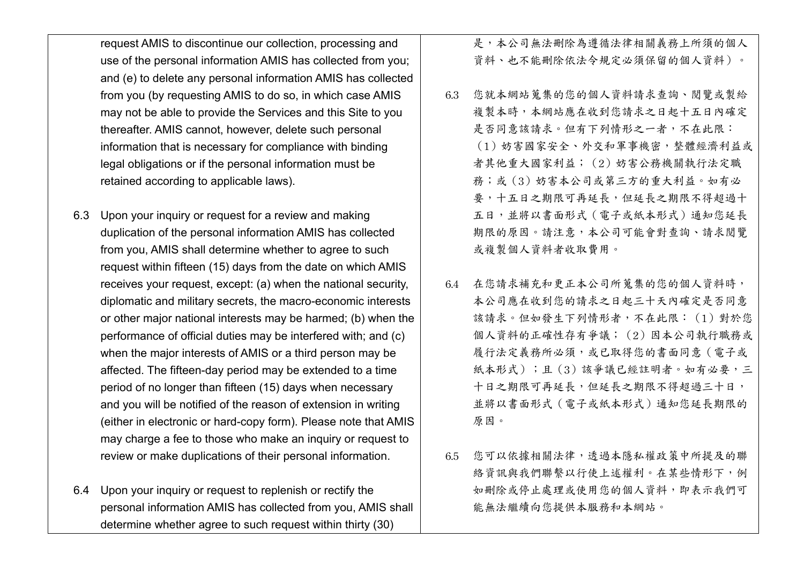request AMIS to discontinue our collection, processing and use of the personal information AMIS has collected from you; and (e) to delete any personal information AMIS has collected from you (by requesting AMIS to do so, in which case AMIS may not be able to provide the Services and this Site to you thereafter. AMIS cannot, however, delete such personal information that is necessary for compliance with binding legal obligations or if the personal information must be retained according to applicable laws).

- 6.3 Upon your inquiry or request for a review and making duplication of the personal information AMIS has collected from you, AMIS shall determine whether to agree to such request within fifteen (15) days from the date on which AMIS receives your request, except: (a) when the national security, diplomatic and military secrets, the macro-economic interests or other major national interests may be harmed; (b) when the performance of official duties may be interfered with; and (c) when the major interests of AMIS or a third person may be affected. The fifteen-day period may be extended to a time period of no longer than fifteen (15) days when necessary and you will be notified of the reason of extension in writing (either in electronic or hard-copy form). Please note that AMIS may charge a fee to those who make an inquiry or request to review or make duplications of their personal information.
- 6.4 Upon your inquiry or request to replenish or rectify the personal information AMIS has collected from you, AMIS shall determine whether agree to such request within thirty (30)

是,本公司無法刪除為遵循法律相關義務上所須的個人 資料、也不能刪除依法令規定必須保留的個人資料)。

- 6.3 您就本網站蒐集的您的個人資料請求查詢、閱覽或製給 複製本時,本網站應在收到您請求之日起十五日內確定 是否同意該請求。但有下列情形之一者,不在此限: (1)妨害國家安全、外交和軍事機密,整體經濟利益或 者其他重大國家利益;(2)妨害公務機關執行法定職 務;或(3)妨害本公司或第三方的重大利益。如有必 要,十五日之期限可再延長,但延長之期限不得超過十 五日,並將以書面形式(電子或紙本形式)通知您延長 期限的原因。請注意,本公司可能會對查詢、請求閱覽 或複製個人資料者收取費用。
- 6.4 在您請求補充和更正本公司所蒐集的您的個人資料時, 本公司應在收到您的請求之日起三十天內確定是否同意 該請求。但如發生下列情形者,不在此限: (1) 對於您 個人資料的正確性存有爭議;(2)因本公司執行職務或 履行法定義務所必須,或已取得您的書面同意(電子或 紙本形式);且(3)該爭議已經註明者。如有必要,三 十日之期限可再延長,但延長之期限不得超過三十日, 並將以書面形式(電子或紙本形式)通知您延長期限的 原因。
- 6.5 您可以依據相關法律,透過本隱私權政策中所提及的聯 絡資訊與我們聯繫以行使上述權利。在某些情形下,例 如刪除或停止處理或使用您的個人資料,即表示我們可 能無法繼續向您提供本服務和本網站。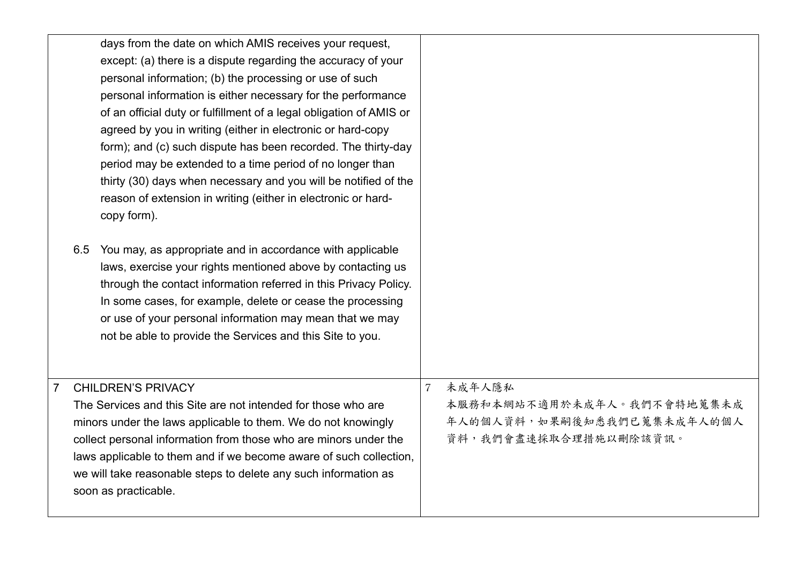| days from the date on which AMIS receives your request,<br>except: (a) there is a dispute regarding the accuracy of your<br>personal information; (b) the processing or use of such<br>personal information is either necessary for the performance<br>of an official duty or fulfillment of a legal obligation of AMIS or<br>agreed by you in writing (either in electronic or hard-copy<br>form); and (c) such dispute has been recorded. The thirty-day<br>period may be extended to a time period of no longer than<br>thirty (30) days when necessary and you will be notified of the<br>reason of extension in writing (either in electronic or hard-<br>copy form).<br>You may, as appropriate and in accordance with applicable<br>6.5<br>laws, exercise your rights mentioned above by contacting us<br>through the contact information referred in this Privacy Policy.<br>In some cases, for example, delete or cease the processing<br>or use of your personal information may mean that we may<br>not be able to provide the Services and this Site to you. |                                                                                                               |
|--------------------------------------------------------------------------------------------------------------------------------------------------------------------------------------------------------------------------------------------------------------------------------------------------------------------------------------------------------------------------------------------------------------------------------------------------------------------------------------------------------------------------------------------------------------------------------------------------------------------------------------------------------------------------------------------------------------------------------------------------------------------------------------------------------------------------------------------------------------------------------------------------------------------------------------------------------------------------------------------------------------------------------------------------------------------------|---------------------------------------------------------------------------------------------------------------|
| <b>CHILDREN'S PRIVACY</b><br>7<br>The Services and this Site are not intended for those who are<br>minors under the laws applicable to them. We do not knowingly<br>collect personal information from those who are minors under the<br>laws applicable to them and if we become aware of such collection,<br>we will take reasonable steps to delete any such information as<br>soon as practicable.                                                                                                                                                                                                                                                                                                                                                                                                                                                                                                                                                                                                                                                                    | 未成年人隱私<br>$\overline{7}$<br>本服務和本網站不適用於未成年人。我們不會特地蒐集未成<br>年人的個人資料,如果嗣後知悉我們已蒐集未成年人的個人<br>資料,我們會盡速採取合理措施以刪除該資訊。 |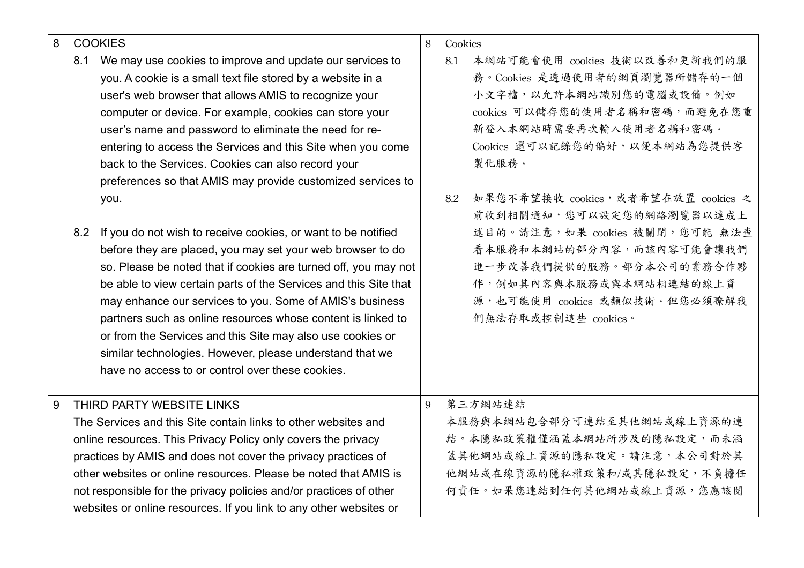## 8 COOKIES

- 8.1 We may use cookies to improve and update our services to you. A cookie is a small text file stored by a website in a user's web browser that allows AMIS to recognize your computer or device. For example, cookies can store your user's name and password to eliminate the need for reentering to access the Services and this Site when you come back to the Services. Cookies can also record your preferences so that AMIS may provide customized services to you.
- 8.2 If you do not wish to receive cookies, or want to be notified before they are placed, you may set your web browser to do so. Please be noted that if cookies are turned off, you may not be able to view certain parts of the Services and this Site that may enhance our services to you. Some of AMIS's business partners such as online resources whose content is linked to or from the Services and this Site may also use cookies or similar technologies. However, please understand that we have no access to or control over these cookies.
- 8 Cookies
	- 8.1 本網站可能會使用 cookies 技術以改善和更新我們的服 務。Cookies 是透過使用者的網頁瀏覽器所儲存的一個 小文字檔,以允許本網站識別您的電腦或設備。例如 cookies 可以儲存您的使用者名稱和密碼,而避免在您重 新登入本網站時需要再次輸入使用者名稱和密碼。 Cookies 還可以記錄您的偏好,以便本網站為您提供客 製化服務。
	- 82 如果您不希望接收 cookies,或者希望在放置 cookies 之 前收到相關通知,您可以設定您的網路瀏覽器以達成上 述目的。請注意,如果 cookies 被關閉,您可能 無法查 看本服務和本網站的部分內容,而該內容可能會讓我們 進一步改善我們提供的服務。部分本公司的業務合作夥 伴,例如其內容與本服務或與本網站相連結的線上資 源,也可能使用 cookies 或類似技術。但您必須瞭解我 們無法存取或控制這些 cookies。

9 第三方網站連結

本服務與本網站包含部分可連結至其他網站或線上資源的連 結。本隱私政策權僅涵蓋本網站所涉及的隱私設定,而未涵 蓋其他網站或線上資源的隱私設定。請注意,本公司對於其 他網站或在線資源的隱私權政策和/或其隱私設定,不負擔任 何責任。如果您連結到任何其他網站或線上資源,您應該閱

9 THIRD PARTY WEBSITE LINKS The Services and this Site contain links to other websites and online resources. This Privacy Policy only covers the privacy practices by AMIS and does not cover the privacy practices of other websites or online resources. Please be noted that AMIS is not responsible for the privacy policies and/or practices of other websites or online resources. If you link to any other websites or